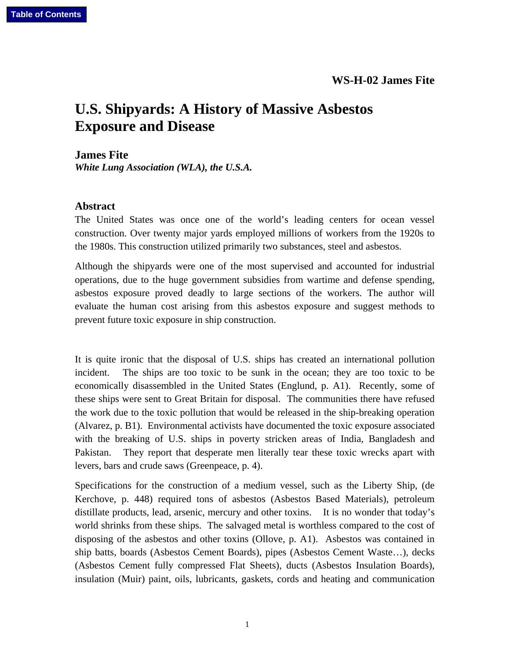## **U.S. Shipyards: A History of Massive Asbestos Exposure and Disease**

**James Fite**  *White Lung Association (WLA), the U.S.A.* 

## **Abstract**

The United States was once one of the world's leading centers for ocean vessel construction. Over twenty major yards employed millions of workers from the 1920s to the 1980s. This construction utilized primarily two substances, steel and asbestos.

Although the shipyards were one of the most supervised and accounted for industrial operations, due to the huge government subsidies from wartime and defense spending, asbestos exposure proved deadly to large sections of the workers. The author will evaluate the human cost arising from this asbestos exposure and suggest methods to prevent future toxic exposure in ship construction.

It is quite ironic that the disposal of U.S. ships has created an international pollution incident. The ships are too toxic to be sunk in the ocean; they are too toxic to be economically disassembled in the United States (Englund, p. A1). Recently, some of these ships were sent to Great Britain for disposal. The communities there have refused the work due to the toxic pollution that would be released in the ship-breaking operation (Alvarez, p. B1). Environmental activists have documented the toxic exposure associated with the breaking of U.S. ships in poverty stricken areas of India, Bangladesh and Pakistan. They report that desperate men literally tear these toxic wrecks apart with levers, bars and crude saws (Greenpeace, p. 4).

Specifications for the construction of a medium vessel, such as the Liberty Ship, (de Kerchove, p. 448) required tons of asbestos (Asbestos Based Materials), petroleum distillate products, lead, arsenic, mercury and other toxins. It is no wonder that today's world shrinks from these ships. The salvaged metal is worthless compared to the cost of disposing of the asbestos and other toxins (Ollove, p. A1). Asbestos was contained in ship batts, boards (Asbestos Cement Boards), pipes (Asbestos Cement Waste…), decks (Asbestos Cement fully compressed Flat Sheets), ducts (Asbestos Insulation Boards), insulation (Muir) paint, oils, lubricants, gaskets, cords and heating and communication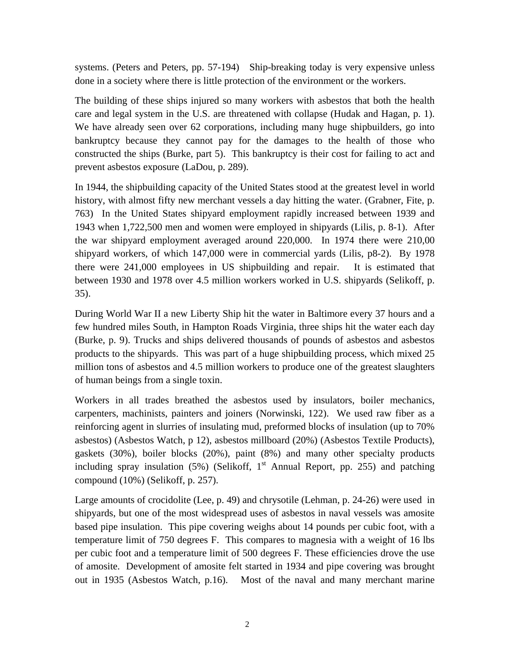systems. (Peters and Peters, pp. 57-194) Ship-breaking today is very expensive unless done in a society where there is little protection of the environment or the workers.

The building of these ships injured so many workers with asbestos that both the health care and legal system in the U.S. are threatened with collapse (Hudak and Hagan, p. 1). We have already seen over 62 corporations, including many huge shipbuilders, go into bankruptcy because they cannot pay for the damages to the health of those who constructed the ships (Burke, part 5). This bankruptcy is their cost for failing to act and prevent asbestos exposure (LaDou, p. 289).

In 1944, the shipbuilding capacity of the United States stood at the greatest level in world history, with almost fifty new merchant vessels a day hitting the water. (Grabner, Fite, p. 763) In the United States shipyard employment rapidly increased between 1939 and 1943 when 1,722,500 men and women were employed in shipyards (Lilis, p. 8-1). After the war shipyard employment averaged around 220,000. In 1974 there were 210,00 shipyard workers, of which 147,000 were in commercial yards (Lilis, p8-2). By 1978 there were 241,000 employees in US shipbuilding and repair. It is estimated that between 1930 and 1978 over 4.5 million workers worked in U.S. shipyards (Selikoff, p. 35).

During World War II a new Liberty Ship hit the water in Baltimore every 37 hours and a few hundred miles South, in Hampton Roads Virginia, three ships hit the water each day (Burke, p. 9). Trucks and ships delivered thousands of pounds of asbestos and asbestos products to the shipyards. This was part of a huge shipbuilding process, which mixed 25 million tons of asbestos and 4.5 million workers to produce one of the greatest slaughters of human beings from a single toxin.

Workers in all trades breathed the asbestos used by insulators, boiler mechanics, carpenters, machinists, painters and joiners (Norwinski, 122). We used raw fiber as a reinforcing agent in slurries of insulating mud, preformed blocks of insulation (up to 70% asbestos) (Asbestos Watch, p 12), asbestos millboard (20%) (Asbestos Textile Products), gaskets (30%), boiler blocks (20%), paint (8%) and many other specialty products including spray insulation  $(5\%)$  (Selikoff, 1<sup>st</sup> Annual Report, pp. 255) and patching compound (10%) (Selikoff, p. 257).

Large amounts of crocidolite (Lee, p. 49) and chrysotile (Lehman, p. 24-26) were used in shipyards, but one of the most widespread uses of asbestos in naval vessels was amosite based pipe insulation. This pipe covering weighs about 14 pounds per cubic foot, with a temperature limit of 750 degrees F. This compares to magnesia with a weight of 16 lbs per cubic foot and a temperature limit of 500 degrees F. These efficiencies drove the use of amosite. Development of amosite felt started in 1934 and pipe covering was brought out in 1935 (Asbestos Watch, p.16). Most of the naval and many merchant marine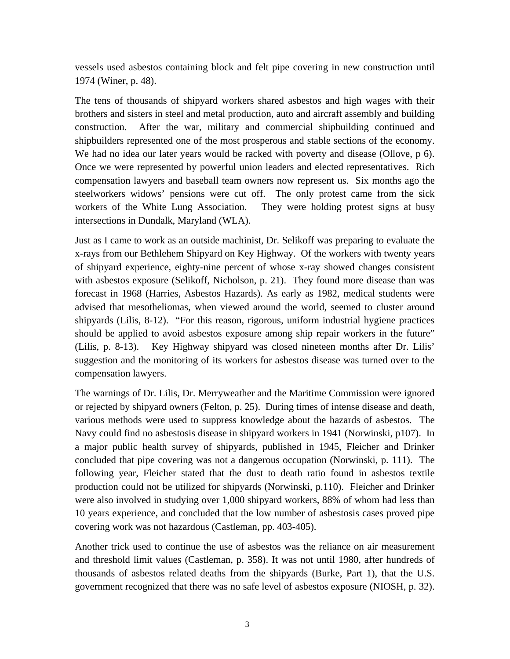vessels used asbestos containing block and felt pipe covering in new construction until 1974 (Winer, p. 48).

The tens of thousands of shipyard workers shared asbestos and high wages with their brothers and sisters in steel and metal production, auto and aircraft assembly and building construction. After the war, military and commercial shipbuilding continued and shipbuilders represented one of the most prosperous and stable sections of the economy. We had no idea our later years would be racked with poverty and disease (Ollove, p 6). Once we were represented by powerful union leaders and elected representatives. Rich compensation lawyers and baseball team owners now represent us. Six months ago the steelworkers widows' pensions were cut off. The only protest came from the sick workers of the White Lung Association. They were holding protest signs at busy intersections in Dundalk, Maryland (WLA).

Just as I came to work as an outside machinist, Dr. Selikoff was preparing to evaluate the x-rays from our Bethlehem Shipyard on Key Highway. Of the workers with twenty years of shipyard experience, eighty-nine percent of whose x-ray showed changes consistent with asbestos exposure (Selikoff, Nicholson, p. 21). They found more disease than was forecast in 1968 (Harries, Asbestos Hazards). As early as 1982, medical students were advised that mesotheliomas, when viewed around the world, seemed to cluster around shipyards (Lilis, 8-12). "For this reason, rigorous, uniform industrial hygiene practices should be applied to avoid asbestos exposure among ship repair workers in the future" (Lilis, p. 8-13). Key Highway shipyard was closed nineteen months after Dr. Lilis' suggestion and the monitoring of its workers for asbestos disease was turned over to the compensation lawyers.

The warnings of Dr. Lilis, Dr. Merryweather and the Maritime Commission were ignored or rejected by shipyard owners (Felton, p. 25). During times of intense disease and death, various methods were used to suppress knowledge about the hazards of asbestos. The Navy could find no asbestosis disease in shipyard workers in 1941 (Norwinski, p107). In a major public health survey of shipyards, published in 1945, Fleicher and Drinker concluded that pipe covering was not a dangerous occupation (Norwinski, p. 111). The following year, Fleicher stated that the dust to death ratio found in asbestos textile production could not be utilized for shipyards (Norwinski, p.110). Fleicher and Drinker were also involved in studying over 1,000 shipyard workers, 88% of whom had less than 10 years experience, and concluded that the low number of asbestosis cases proved pipe covering work was not hazardous (Castleman, pp. 403-405).

Another trick used to continue the use of asbestos was the reliance on air measurement and threshold limit values (Castleman, p. 358). It was not until 1980, after hundreds of thousands of asbestos related deaths from the shipyards (Burke, Part 1), that the U.S. government recognized that there was no safe level of asbestos exposure (NIOSH, p. 32).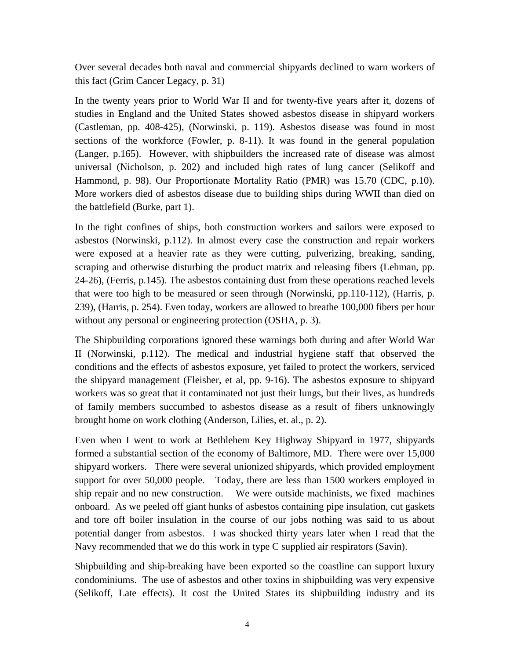Over several decades both naval and commercial shipyards declined to warn workers of this fact (Grim Cancer Legacy, p. 31)

In the twenty years prior to World War II and for twenty-five years after it, dozens of studies in England and the United States showed asbestos disease in shipyard workers (Castleman, pp. 408-425), (Norwinski, p. 119). Asbestos disease was found in most sections of the workforce (Fowler, p. 8-11). It was found in the general population (Langer, p.165). However, with shipbuilders the increased rate of disease was almost universal (Nicholson, p. 202) and included high rates of lung cancer (Selikoff and Hammond, p. 98). Our Proportionate Mortality Ratio (PMR) was 15.70 (CDC, p.10). More workers died of asbestos disease due to building ships during WWII than died on the battlefield (Burke, part 1).

In the tight confines of ships, both construction workers and sailors were exposed to asbestos (Norwinski, p.112). In almost every case the construction and repair workers were exposed at a heavier rate as they were cutting, pulverizing, breaking, sanding, scraping and otherwise disturbing the product matrix and releasing fibers (Lehman, pp. 24-26), (Ferris, p.145). The asbestos containing dust from these operations reached levels that were too high to be measured or seen through (Norwinski, pp.110-112), (Harris, p. 239), (Harris, p. 254). Even today, workers are allowed to breathe 100,000 fibers per hour without any personal or engineering protection (OSHA, p. 3).

The Shipbuilding corporations ignored these warnings both during and after World War II (Norwinski, p.112). The medical and industrial hygiene staff that observed the conditions and the effects of asbestos exposure, yet failed to protect the workers, serviced the shipyard management (Fleisher, et al, pp. 9-16). The asbestos exposure to shipyard workers was so great that it contaminated not just their lungs, but their lives, as hundreds of family members succumbed to asbestos disease as a result of fibers unknowingly brought home on work clothing (Anderson, Lilies, et. al., p. 2).

Even when I went to work at Bethlehem Key Highway Shipyard in 1977, shipyards formed a substantial section of the economy of Baltimore, MD. There were over 15,000 shipyard workers. There were several unionized shipyards, which provided employment support for over 50,000 people. Today, there are less than 1500 workers employed in ship repair and no new construction. We were outside machinists, we fixed machines onboard. As we peeled off giant hunks of asbestos containing pipe insulation, cut gaskets and tore off boiler insulation in the course of our jobs nothing was said to us about potential danger from asbestos. I was shocked thirty years later when I read that the Navy recommended that we do this work in type C supplied air respirators (Savin).

Shipbuilding and ship-breaking have been exported so the coastline can support luxury condominiums. The use of asbestos and other toxins in shipbuilding was very expensive (Selikoff, Late effects). It cost the United States its shipbuilding industry and its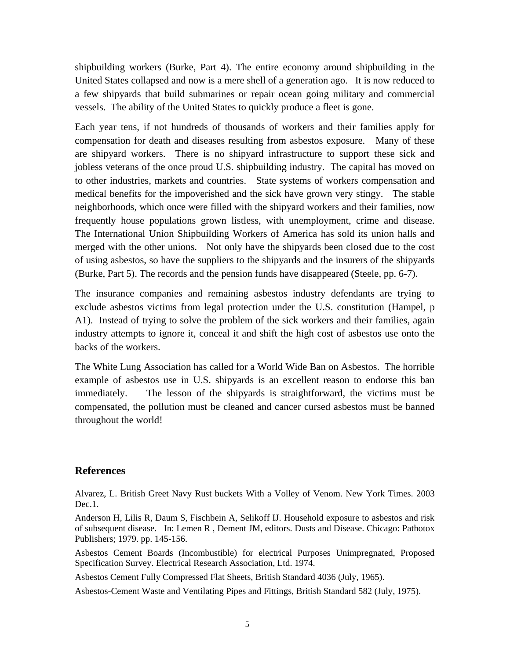shipbuilding workers (Burke, Part 4). The entire economy around shipbuilding in the United States collapsed and now is a mere shell of a generation ago. It is now reduced to a few shipyards that build submarines or repair ocean going military and commercial vessels. The ability of the United States to quickly produce a fleet is gone.

Each year tens, if not hundreds of thousands of workers and their families apply for compensation for death and diseases resulting from asbestos exposure. Many of these are shipyard workers. There is no shipyard infrastructure to support these sick and jobless veterans of the once proud U.S. shipbuilding industry. The capital has moved on to other industries, markets and countries. State systems of workers compensation and medical benefits for the impoverished and the sick have grown very stingy. The stable neighborhoods, which once were filled with the shipyard workers and their families, now frequently house populations grown listless, with unemployment, crime and disease. The International Union Shipbuilding Workers of America has sold its union halls and merged with the other unions. Not only have the shipyards been closed due to the cost of using asbestos, so have the suppliers to the shipyards and the insurers of the shipyards (Burke, Part 5). The records and the pension funds have disappeared (Steele, pp. 6-7).

The insurance companies and remaining asbestos industry defendants are trying to exclude asbestos victims from legal protection under the U.S. constitution (Hampel, p A1). Instead of trying to solve the problem of the sick workers and their families, again industry attempts to ignore it, conceal it and shift the high cost of asbestos use onto the backs of the workers.

The White Lung Association has called for a World Wide Ban on Asbestos. The horrible example of asbestos use in U.S. shipyards is an excellent reason to endorse this ban immediately. The lesson of the shipyards is straightforward, the victims must be compensated, the pollution must be cleaned and cancer cursed asbestos must be banned throughout the world!

## **References**

Alvarez, L. British Greet Navy Rust buckets With a Volley of Venom. New York Times. 2003 Dec.1.

Anderson H, Lilis R, Daum S, Fischbein A, Selikoff IJ. Household exposure to asbestos and risk of subsequent disease. In: Lemen R , Dement JM, editors. Dusts and Disease. Chicago: Pathotox Publishers; 1979. pp. 145-156.

Asbestos Cement Boards (Incombustible) for electrical Purposes Unimpregnated, Proposed Specification Survey. Electrical Research Association, Ltd. 1974.

Asbestos Cement Fully Compressed Flat Sheets, British Standard 4036 (July, 1965).

Asbestos-Cement Waste and Ventilating Pipes and Fittings, British Standard 582 (July, 1975).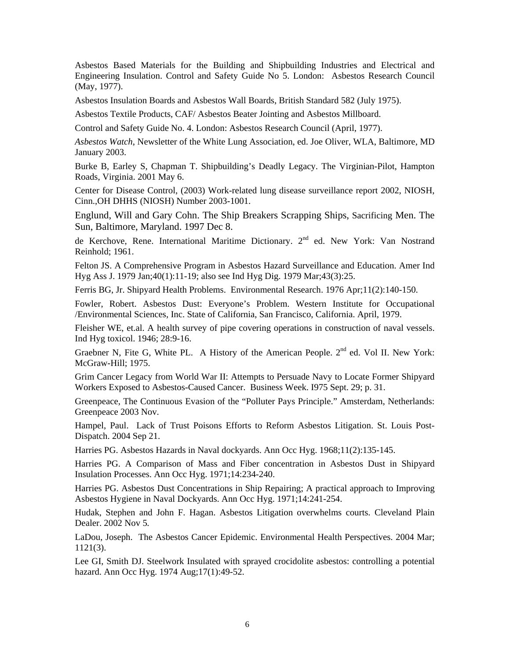Asbestos Based Materials for the Building and Shipbuilding Industries and Electrical and Engineering Insulation. Control and Safety Guide No 5. London: Asbestos Research Council (May, 1977).

Asbestos Insulation Boards and Asbestos Wall Boards, British Standard 582 (July 1975).

Asbestos Textile Products, CAF/ Asbestos Beater Jointing and Asbestos Millboard.

Control and Safety Guide No. 4. London: Asbestos Research Council (April, 1977).

*Asbestos Watch*, Newsletter of the White Lung Association, ed. Joe Oliver, WLA, Baltimore, MD January 2003.

Burke B, Earley S, Chapman T. Shipbuilding's Deadly Legacy. The Virginian-Pilot, Hampton Roads, Virginia. 2001 May 6.

Center for Disease Control, (2003) Work-related lung disease surveillance report 2002, NIOSH, Cinn.,OH DHHS (NIOSH) Number 2003-1001.

Englund, Will and Gary Cohn. The Ship Breakers Scrapping Ships, Sacrificing Men. The Sun, Baltimore, Maryland. 1997 Dec 8.

de Kerchove, Rene. International Maritime Dictionary.  $2^{nd}$  ed. New York: Van Nostrand Reinhold; 1961.

Felton JS. A Comprehensive Program in Asbestos Hazard Surveillance and Education. Amer Ind Hyg Ass J. 1979 Jan;40(1):11-19; also see Ind Hyg Dig. 1979 Mar;43(3):25.

Ferris BG, Jr. Shipyard Health Problems. Environmental Research. 1976 Apr;11(2):140-150.

Fowler, Robert. Asbestos Dust: Everyone's Problem. Western Institute for Occupational /Environmental Sciences, Inc. State of California, San Francisco, California. April, 1979.

Fleisher WE, et.al. A health survey of pipe covering operations in construction of naval vessels. Ind Hyg toxicol. 1946; 28:9-16.

Graebner N, Fite G, White PL. A History of the American People.  $2<sup>nd</sup>$  ed. Vol II. New York: McGraw-Hill; 1975.

Grim Cancer Legacy from World War II: Attempts to Persuade Navy to Locate Former Shipyard Workers Exposed to Asbestos-Caused Cancer. Business Week. I975 Sept. 29; p. 31.

Greenpeace, The Continuous Evasion of the "Polluter Pays Principle." Amsterdam, Netherlands: Greenpeace 2003 Nov.

Hampel, Paul. Lack of Trust Poisons Efforts to Reform Asbestos Litigation. St. Louis Post-Dispatch. 2004 Sep 21.

Harries PG. Asbestos Hazards in Naval dockyards. Ann Occ Hyg. 1968;11(2):135-145.

Harries PG. A Comparison of Mass and Fiber concentration in Asbestos Dust in Shipyard Insulation Processes. Ann Occ Hyg. 1971;14:234-240.

Harries PG. Asbestos Dust Concentrations in Ship Repairing; A practical approach to Improving Asbestos Hygiene in Naval Dockyards. Ann Occ Hyg. 1971;14:241-254.

Hudak, Stephen and John F. Hagan. Asbestos Litigation overwhelms courts. Cleveland Plain Dealer. 2002 Nov 5*.* 

LaDou, Joseph. The Asbestos Cancer Epidemic. Environmental Health Perspectives. 2004 Mar; 1121(3).

Lee GI, Smith DJ. Steelwork Insulated with sprayed crocidolite asbestos: controlling a potential hazard. Ann Occ Hyg. 1974 Aug;17(1):49-52.